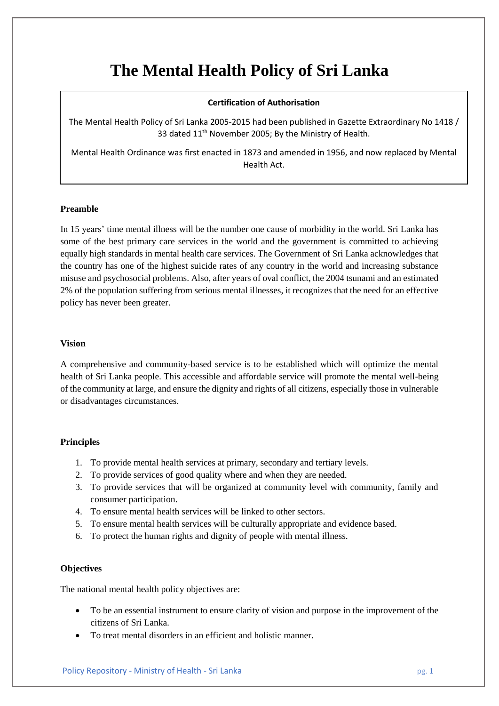# **The Mental Health Policy of Sri Lanka**

# **Certification of Authorisation**

The Mental Health Policy of Sri Lanka 2005-2015 had been published in Gazette Extraordinary No 1418 / 33 dated 11<sup>th</sup> November 2005; By the Ministry of Health.

Mental Health Ordinance was first enacted in 1873 and amended in 1956, and now replaced by Mental Health Act.

# **Preamble**

In 15 years' time mental illness will be the number one cause of morbidity in the world. Sri Lanka has some of the best primary care services in the world and the government is committed to achieving equally high standards in mental health care services. The Government of Sri Lanka acknowledges that the country has one of the highest suicide rates of any country in the world and increasing substance misuse and psychosocial problems. Also, after years of oval conflict, the 2004 tsunami and an estimated 2% of the population suffering from serious mental illnesses, it recognizes that the need for an effective policy has never been greater.

#### **Vision**

A comprehensive and community-based service is to be established which will optimize the mental health of Sri Lanka people. This accessible and affordable service will promote the mental well-being of the community at large, and ensure the dignity and rights of all citizens, especially those in vulnerable or disadvantages circumstances.

# **Principles**

- 1. To provide mental health services at primary, secondary and tertiary levels.
- 2. To provide services of good quality where and when they are needed.
- 3. To provide services that will be organized at community level with community, family and consumer participation.
- 4. To ensure mental health services will be linked to other sectors.
- 5. To ensure mental health services will be culturally appropriate and evidence based.
- 6. To protect the human rights and dignity of people with mental illness.

# **Objectives**

The national mental health policy objectives are:

- To be an essential instrument to ensure clarity of vision and purpose in the improvement of the citizens of Sri Lanka.
- To treat mental disorders in an efficient and holistic manner.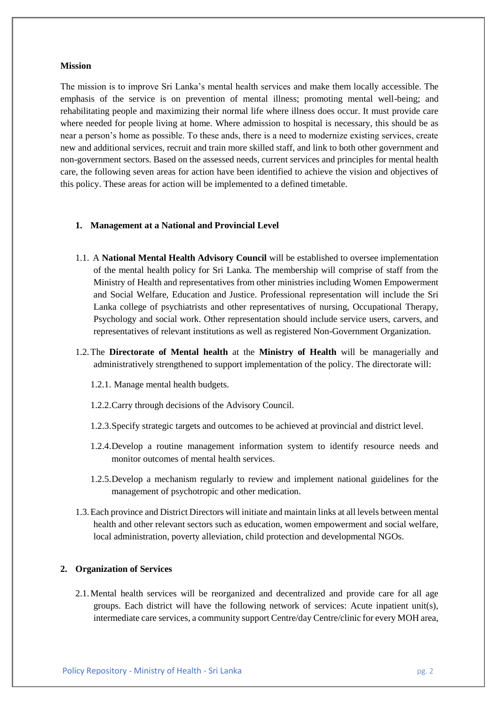#### **Mission**

The mission is to improve Sri Lanka's mental health services and make them locally accessible. The emphasis of the service is on prevention of mental illness; promoting mental well-being; and rehabilitating people and maximizing their normal life where illness does occur. It must provide care where needed for people living at home. Where admission to hospital is necessary, this should be as near a person's home as possible. To these ands, there is a need to modernize existing services, create new and additional services, recruit and train more skilled staff, and link to both other government and non-government sectors. Based on the assessed needs, current services and principles for mental health care, the following seven areas for action have been identified to achieve the vision and objectives of this policy. These areas for action will be implemented to a defined timetable.

#### **1. Management at a National and Provincial Level**

- 1.1. A **National Mental Health Advisory Council** will be established to oversee implementation of the mental health policy for Sri Lanka. The membership will comprise of staff from the Ministry of Health and representatives from other ministries including Women Empowerment and Social Welfare, Education and Justice. Professional representation will include the Sri Lanka college of psychiatrists and other representatives of nursing, Occupational Therapy, Psychology and social work. Other representation should include service users, carvers, and representatives of relevant institutions as well as registered Non-Government Organization.
- 1.2.The **Directorate of Mental health** at the **Ministry of Health** will be managerially and administratively strengthened to support implementation of the policy. The directorate will:
	- 1.2.1. Manage mental health budgets.
	- 1.2.2.Carry through decisions of the Advisory Council.
	- 1.2.3.Specify strategic targets and outcomes to be achieved at provincial and district level.
	- 1.2.4.Develop a routine management information system to identify resource needs and monitor outcomes of mental health services.
	- 1.2.5.Develop a mechanism regularly to review and implement national guidelines for the management of psychotropic and other medication.
- 1.3.Each province and District Directors will initiate and maintain links at all levels between mental health and other relevant sectors such as education, women empowerment and social welfare, local administration, poverty alleviation, child protection and developmental NGOs.

#### **2. Organization of Services**

2.1.Mental health services will be reorganized and decentralized and provide care for all age groups. Each district will have the following network of services: Acute inpatient unit(s), intermediate care services, a community support Centre/day Centre/clinic for every MOH area,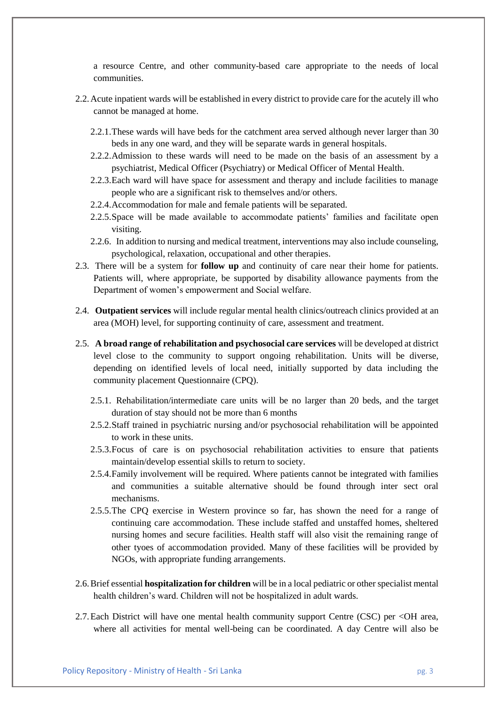a resource Centre, and other community-based care appropriate to the needs of local communities.

- 2.2.Acute inpatient wards will be established in every district to provide care for the acutely ill who cannot be managed at home.
	- 2.2.1.These wards will have beds for the catchment area served although never larger than 30 beds in any one ward, and they will be separate wards in general hospitals.
	- 2.2.2.Admission to these wards will need to be made on the basis of an assessment by a psychiatrist, Medical Officer (Psychiatry) or Medical Officer of Mental Health.
	- 2.2.3.Each ward will have space for assessment and therapy and include facilities to manage people who are a significant risk to themselves and/or others.
	- 2.2.4.Accommodation for male and female patients will be separated.
	- 2.2.5.Space will be made available to accommodate patients' families and facilitate open visiting.
	- 2.2.6. In addition to nursing and medical treatment, interventions may also include counseling, psychological, relaxation, occupational and other therapies.
- 2.3. There will be a system for **follow up** and continuity of care near their home for patients. Patients will, where appropriate, be supported by disability allowance payments from the Department of women's empowerment and Social welfare.
- 2.4. **Outpatient services** will include regular mental health clinics/outreach clinics provided at an area (MOH) level, for supporting continuity of care, assessment and treatment.
- 2.5. **A broad range of rehabilitation and psychosocial care services** will be developed at district level close to the community to support ongoing rehabilitation. Units will be diverse, depending on identified levels of local need, initially supported by data including the community placement Questionnaire (CPQ).
	- 2.5.1. Rehabilitation/intermediate care units will be no larger than 20 beds, and the target duration of stay should not be more than 6 months
	- 2.5.2.Staff trained in psychiatric nursing and/or psychosocial rehabilitation will be appointed to work in these units.
	- 2.5.3.Focus of care is on psychosocial rehabilitation activities to ensure that patients maintain/develop essential skills to return to society.
	- 2.5.4.Family involvement will be required. Where patients cannot be integrated with families and communities a suitable alternative should be found through inter sect oral mechanisms.
	- 2.5.5.The CPQ exercise in Western province so far, has shown the need for a range of continuing care accommodation. These include staffed and unstaffed homes, sheltered nursing homes and secure facilities. Health staff will also visit the remaining range of other tyoes of accommodation provided. Many of these facilities will be provided by NGOs, with appropriate funding arrangements.
- 2.6.Brief essential **hospitalization for children** will be in a local pediatric or other specialist mental health children's ward. Children will not be hospitalized in adult wards.
- 2.7.Each District will have one mental health community support Centre (CSC) per <OH area, where all activities for mental well-being can be coordinated. A day Centre will also be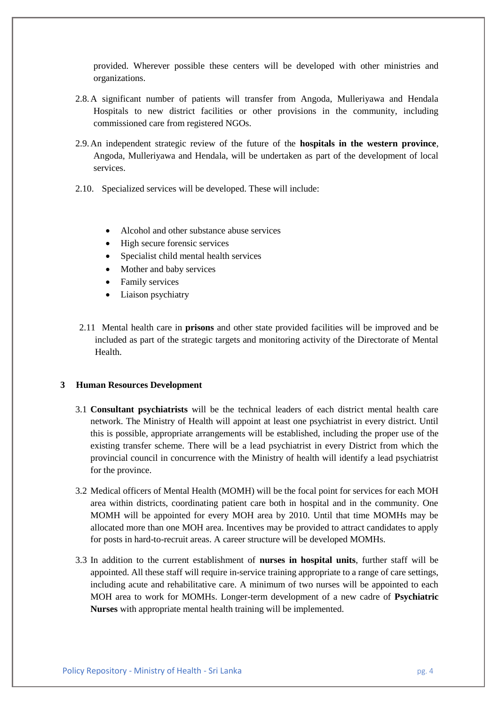provided. Wherever possible these centers will be developed with other ministries and organizations.

- 2.8.A significant number of patients will transfer from Angoda, Mulleriyawa and Hendala Hospitals to new district facilities or other provisions in the community, including commissioned care from registered NGOs.
- 2.9.An independent strategic review of the future of the **hospitals in the western province**, Angoda, Mulleriyawa and Hendala, will be undertaken as part of the development of local services.
- 2.10. Specialized services will be developed. These will include:
	- Alcohol and other substance abuse services
	- High secure forensic services
	- Specialist child mental health services
	- Mother and baby services
	- Family services
	- Liaison psychiatry
- 2.11 Mental health care in **prisons** and other state provided facilities will be improved and be included as part of the strategic targets and monitoring activity of the Directorate of Mental Health.

#### **3 Human Resources Development**

- 3.1 **Consultant psychiatrists** will be the technical leaders of each district mental health care network. The Ministry of Health will appoint at least one psychiatrist in every district. Until this is possible, appropriate arrangements will be established, including the proper use of the existing transfer scheme. There will be a lead psychiatrist in every District from which the provincial council in concurrence with the Ministry of health will identify a lead psychiatrist for the province.
- 3.2 Medical officers of Mental Health (MOMH) will be the focal point for services for each MOH area within districts, coordinating patient care both in hospital and in the community. One MOMH will be appointed for every MOH area by 2010. Until that time MOMHs may be allocated more than one MOH area. Incentives may be provided to attract candidates to apply for posts in hard-to-recruit areas. A career structure will be developed MOMHs.
- 3.3 In addition to the current establishment of **nurses in hospital units**, further staff will be appointed. All these staff will require in-service training appropriate to a range of care settings, including acute and rehabilitative care. A minimum of two nurses will be appointed to each MOH area to work for MOMHs. Longer-term development of a new cadre of **Psychiatric Nurses** with appropriate mental health training will be implemented.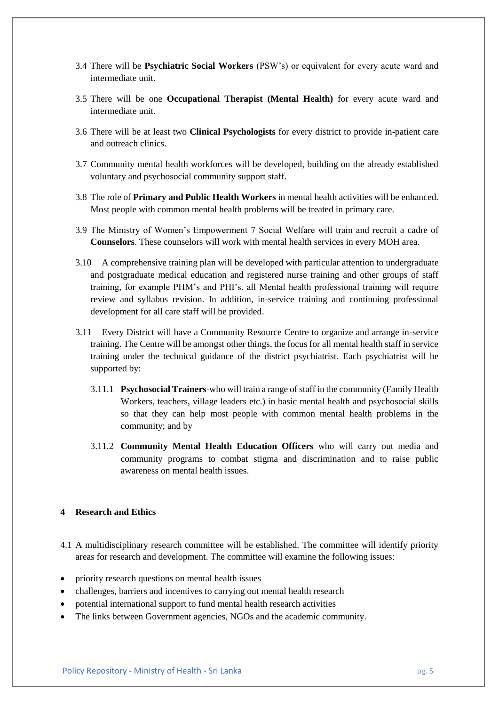- 3.4 There will be **Psychiatric Social Workers** (PSW's) or equivalent for every acute ward and intermediate unit.
- 3.5 There will be one **Occupational Therapist (Mental Health)** for every acute ward and intermediate unit.
- 3.6 There will be at least two **Clinical Psychologists** for every district to provide in-patient care and outreach clinics.
- 3.7 Community mental health workforces will be developed, building on the already established voluntary and psychosocial community support staff.
- 3.8 The role of **Primary and Public Health Workers** in mental health activities will be enhanced. Most people with common mental health problems will be treated in primary care.
- 3.9 The Ministry of Women's Empowerment 7 Social Welfare will train and recruit a cadre of **Counselors**. These counselors will work with mental health services in every MOH area.
- 3.10 A comprehensive training plan will be developed with particular attention to undergraduate and postgraduate medical education and registered nurse training and other groups of staff training, for example PHM's and PHI's. all Mental health professional training will require review and syllabus revision. In addition, in-service training and continuing professional development for all care staff will be provided.
- 3.11 Every District will have a Community Resource Centre to organize and arrange in-service training. The Centre will be amongst other things, the focus for all mental health staff in service training under the technical guidance of the district psychiatrist. Each psychiatrist will be supported by:
	- 3.11.1 **Psychosocial Trainers**-who will train a range of staff in the community (Family Health Workers, teachers, village leaders etc.) in basic mental health and psychosocial skills so that they can help most people with common mental health problems in the community; and by
	- 3.11.2 **Community Mental Health Education Officers** who will carry out media and community programs to combat stigma and discrimination and to raise public awareness on mental health issues.

# **4 Research and Ethics**

- 4.1 A multidisciplinary research committee will be established. The committee will identify priority areas for research and development. The committee will examine the following issues:
- priority research questions on mental health issues
- challenges, barriers and incentives to carrying out mental health research
- potential international support to fund mental health research activities
- The links between Government agencies, NGOs and the academic community.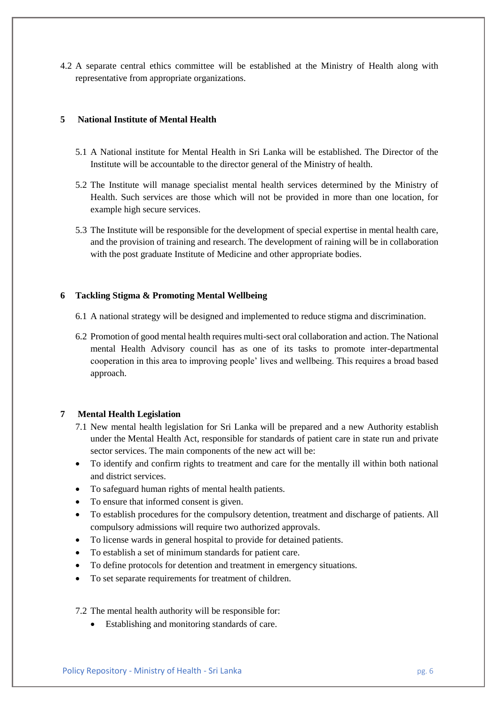4.2 A separate central ethics committee will be established at the Ministry of Health along with representative from appropriate organizations.

# **5 National Institute of Mental Health**

- 5.1 A National institute for Mental Health in Sri Lanka will be established. The Director of the Institute will be accountable to the director general of the Ministry of health.
- 5.2 The Institute will manage specialist mental health services determined by the Ministry of Health. Such services are those which will not be provided in more than one location, for example high secure services.
- 5.3 The Institute will be responsible for the development of special expertise in mental health care, and the provision of training and research. The development of raining will be in collaboration with the post graduate Institute of Medicine and other appropriate bodies.

# **6 Tackling Stigma & Promoting Mental Wellbeing**

- 6.1 A national strategy will be designed and implemented to reduce stigma and discrimination.
- 6.2 Promotion of good mental health requires multi-sect oral collaboration and action. The National mental Health Advisory council has as one of its tasks to promote inter-departmental cooperation in this area to improving people' lives and wellbeing. This requires a broad based approach.

# **7 Mental Health Legislation**

- 7.1 New mental health legislation for Sri Lanka will be prepared and a new Authority establish under the Mental Health Act, responsible for standards of patient care in state run and private sector services. The main components of the new act will be:
- To identify and confirm rights to treatment and care for the mentally ill within both national and district services.
- To safeguard human rights of mental health patients.
- To ensure that informed consent is given.
- To establish procedures for the compulsory detention, treatment and discharge of patients. All compulsory admissions will require two authorized approvals.
- To license wards in general hospital to provide for detained patients.
- To establish a set of minimum standards for patient care.
- To define protocols for detention and treatment in emergency situations.
- To set separate requirements for treatment of children.

# 7.2 The mental health authority will be responsible for:

• Establishing and monitoring standards of care.